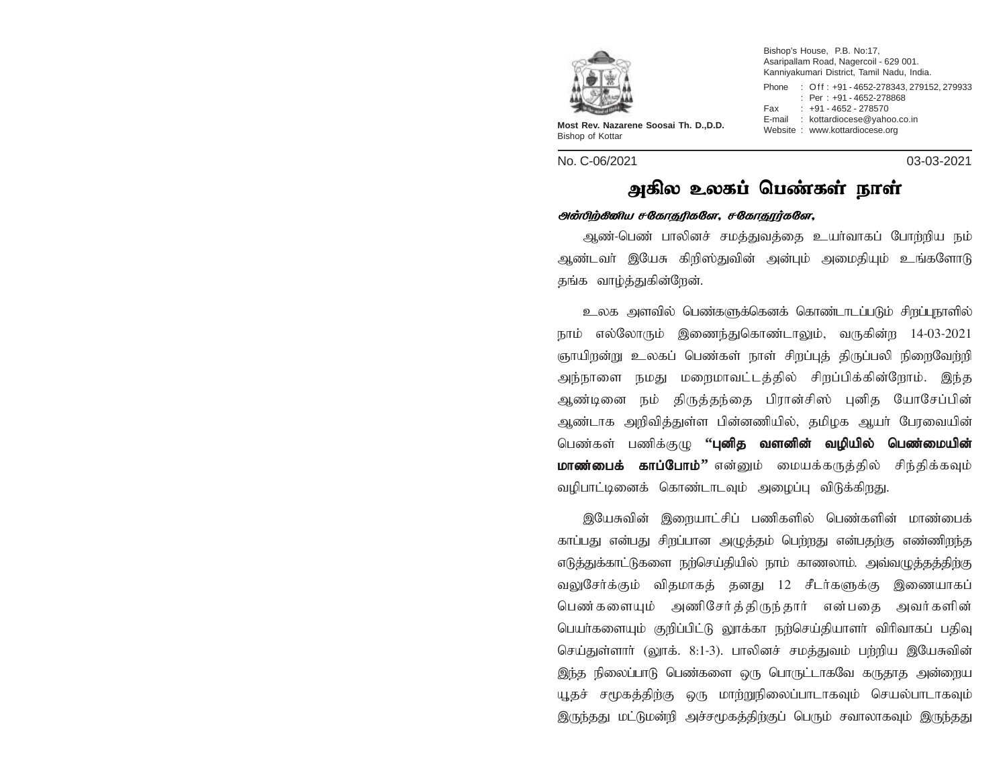

**Most Rev. Nazarene Soosai Th. D.,D.D.** Bishop of Kottar

No. C-06/2021 03-03-2021

Bishop's House, P.B. No:17, Asaripallam Road, Nagercoil - 629 001. Kanniyakumari District, Tamil Nadu, India. Phone : Off : +91 - 4652-278343, 279152, 279933 : Per : +91 - 4652-278868 Fax : +91 - 4652 - 278570 E-mail : kottardiocese@yahoo.co.in<br>Website : www.kottardiocese.org

## அகில உலகப் பெண்கள் நாள்

## அன்பிற்கீனிய சகோதரிகளே, சகோதூர்களே,

ஆண்-பெண் பாலினச் சமத்துவத்தை உயர்வாகப் போற்றிய நம் ஆண்டவர் இயேசு கிறிஸ்துவின் அன்பும் அமைதியும் உங்களோடு தங்க வாழ்த்துகின்றேன்.

உலக அளவில் பெண்களுக்கெனக் கொண்டாடப்படும் சிறப்புநாளில் நாம் எல்லோரும் இணைந்துகொண்டாலும், வருகின்ற 14-03-2021 ஞாயிறன்று உலகப் பெண்கள் நாள் சிறப்புத் திருப்பலி நிறைவேற்றி அந்நாளை நமது மறைமாவட்டத்தில் சிறப்பிக்கின்றோம். இந்த ஆண்டினை நம் திருத்தந்தை பிரான்சிஸ் புனித யோசேப்பின் ஆண்டாக அறிவித்துள்ள பின்னணியில், தமிழக ஆயர் பேரவையின் பெண்கள் பணிக்குழு **''புனித வளனின் வழியில் பெண்மையின் மாண்பைக் காப்போம்''** என்னும் மையக்கருத்தில் சிந்திக்கவும் வழிபாட்டினைக் கொண்டாடவும் அழைப்பு விடுக்கிறது.

இயேசுவின் இறையாட்சிப் பணிகளில் பெண்களின் மாண்பைக் காப்பது என்பது சிறப்பான அமுக்கம் பெற்றது என்பதற்கு எண்ணிறந்த எடுத்துக்காட்டுகளை நற்செய்தியில் நாம் காணலாம். அவ்வழுத்தத்திற்கு வலுசேர்க்கும் விதமாகத் தனது 12 சீடர்களுக்கு இணையாகப் பெண்களையும் அணிசேர்த்திருந்தார் என்பதை அவர்களின் பெயர்களையும் குறிப்பிட்டு லூக்கா நற்செய்தியாளர் விரிவாகப் பதிவு செய்துள்ளாா் (லூக். 8:1-3). பாலினச் சமத்துவம் பற்றிய இயேசுவின் இந்த நிலைப்பாடு பெண்களை ஒரு பொருட்டாகவே கருதாத அன்றைய யூதச் சமூகத்திற்கு ஒரு மாற்றுநிலைப்பாடாகவும் செயல்பாடாகவும் இருந்தது மட்டுமன்றி அச்சமூகத்திற்குப் பெரும் சவாலாகவும் இருந்தது